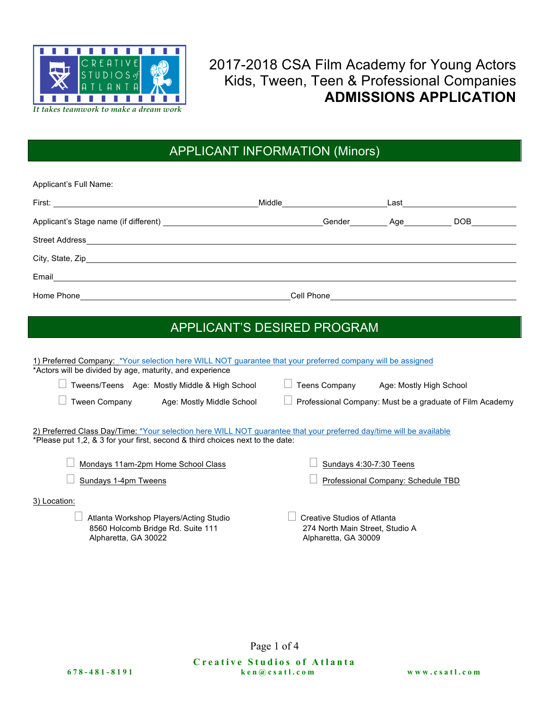

2017-2018 CSA Film Academy for Young Actors Kids, Tween, Teen & Professional Companies **ADMISSIONS APPLICATION**

#### APPLICANT INFORMATION (Minors)

| Applicant's Full Name:                                                                    |                              |                              |                  |
|-------------------------------------------------------------------------------------------|------------------------------|------------------------------|------------------|
|                                                                                           | Middle <u>______________</u> | Last _______________________ |                  |
|                                                                                           |                              | Gender Age                   | DOB <sub>a</sub> |
|                                                                                           |                              |                              |                  |
|                                                                                           |                              |                              |                  |
|                                                                                           |                              |                              |                  |
| Home Phone <b>Figure 2018 Figure 2018 Figure 2018 Figure 2018 Figure 2018 Figure 2018</b> |                              |                              |                  |

### APPLICANT'S DESIRED PROGRAM

| 1) Preferred Company: *Your selection here WILL NOT guarantee that your preferred company will be assigned<br>*Actors will be divided by age, maturity, and experience                               |                                                                                        |
|------------------------------------------------------------------------------------------------------------------------------------------------------------------------------------------------------|----------------------------------------------------------------------------------------|
| Tweens/Teens Age: Mostly Middle & High School                                                                                                                                                        | <b>Teens Company</b><br>Age: Mostly High School                                        |
| <b>Tween Company</b><br>Age: Mostly Middle School                                                                                                                                                    | Professional Company: Must be a graduate of Film Academy                               |
| 2) Preferred Class Day/Time: *Your selection here WILL NOT guarantee that your preferred day/time will be available<br>*Please put 1,2, & 3 for your first, second & third choices next to the date: |                                                                                        |
| Mondays 11am-2pm Home School Class<br>Sundays 1-4pm Tweens                                                                                                                                           | Sundays 4:30-7:30 Teens<br>Professional Company: Schedule TBD                          |
| 3) Location:<br>Atlanta Workshop Players/Acting Studio<br>8560 Holcomb Bridge Rd. Suite 111<br>Alpharetta, GA 30022                                                                                  | Creative Studios of Atlanta<br>274 North Main Street, Studio A<br>Alpharetta, GA 30009 |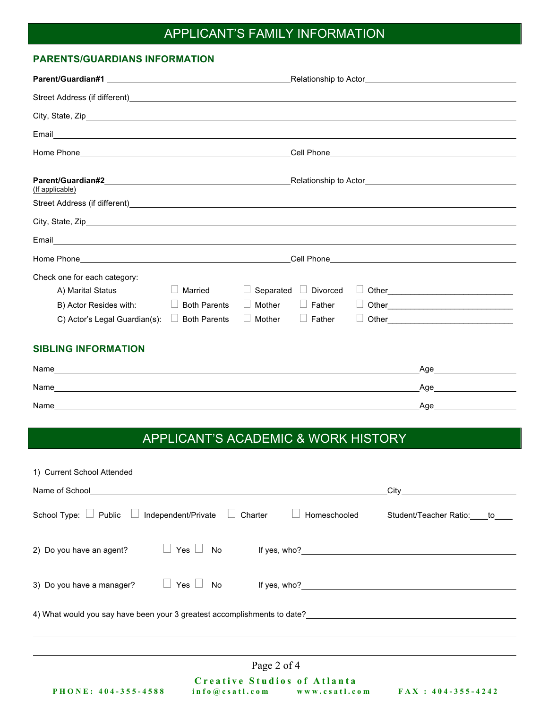## APPLICANT'S FAMILY INFORMATION

#### **PARENTS/GUARDIANS INFORMATION**

| (If applicable)                                                                                                                                                                                                                |                     |           |                 |                                                                                                                                                                                                                                |  |
|--------------------------------------------------------------------------------------------------------------------------------------------------------------------------------------------------------------------------------|---------------------|-----------|-----------------|--------------------------------------------------------------------------------------------------------------------------------------------------------------------------------------------------------------------------------|--|
|                                                                                                                                                                                                                                |                     |           |                 |                                                                                                                                                                                                                                |  |
|                                                                                                                                                                                                                                |                     |           |                 |                                                                                                                                                                                                                                |  |
|                                                                                                                                                                                                                                |                     |           |                 |                                                                                                                                                                                                                                |  |
|                                                                                                                                                                                                                                |                     |           |                 | Cell Phone Contract Contract Contract Contract Contract Contract Contract Contract Contract Contract Contract Contract Contract Contract Contract Contract Contract Contract Contract Contract Contract Contract Contract Cont |  |
| Check one for each category:                                                                                                                                                                                                   |                     |           |                 |                                                                                                                                                                                                                                |  |
| A) Marital Status                                                                                                                                                                                                              | Married             | Separated | $\Box$ Divorced |                                                                                                                                                                                                                                |  |
| B) Actor Resides with:                                                                                                                                                                                                         | <b>Both Parents</b> | Mother    | $\Box$ Father   |                                                                                                                                                                                                                                |  |
| C) Actor's Legal Guardian(s):                                                                                                                                                                                                  | <b>Both Parents</b> | Mother    | $\Box$ Father   |                                                                                                                                                                                                                                |  |
| <b>SIBLING INFORMATION</b>                                                                                                                                                                                                     |                     |           |                 |                                                                                                                                                                                                                                |  |
|                                                                                                                                                                                                                                |                     |           |                 | Age                                                                                                                                                                                                                            |  |
| Name experience and the contract of the contract of the contract of the contract of the contract of the contract of the contract of the contract of the contract of the contract of the contract of the contract of the contra |                     |           |                 | Age and the state of the state of the state of the state of the state of the state of the state of the state o                                                                                                                 |  |
|                                                                                                                                                                                                                                |                     |           |                 | Age                                                                                                                                                                                                                            |  |
|                                                                                                                                                                                                                                |                     |           |                 |                                                                                                                                                                                                                                |  |

# APPLICANT'S ACADEMIC & WORK HISTORY

| 1) Current School Attended                                                                                        |  |
|-------------------------------------------------------------------------------------------------------------------|--|
| Name of School<br>Name of School                                                                                  |  |
| School Type: $\Box$ Public $\Box$ Independent/Private $\Box$ Charter<br>Homeschooled<br>Student/Teacher Ratio: to |  |
| 2) Do you have an agent?                                                                                          |  |
| $\Box$ Yes $\Box$ No<br>3) Do you have a manager?                                                                 |  |
| 4) What would you say have been your 3 greatest accomplishments to date?____________________________              |  |
| Page 2 of 4<br>Creative Studios of Atlanta                                                                        |  |
| PHONE: 404-355-4588<br>info@csatl.com www.csatl.com FAX: 404-355-4242                                             |  |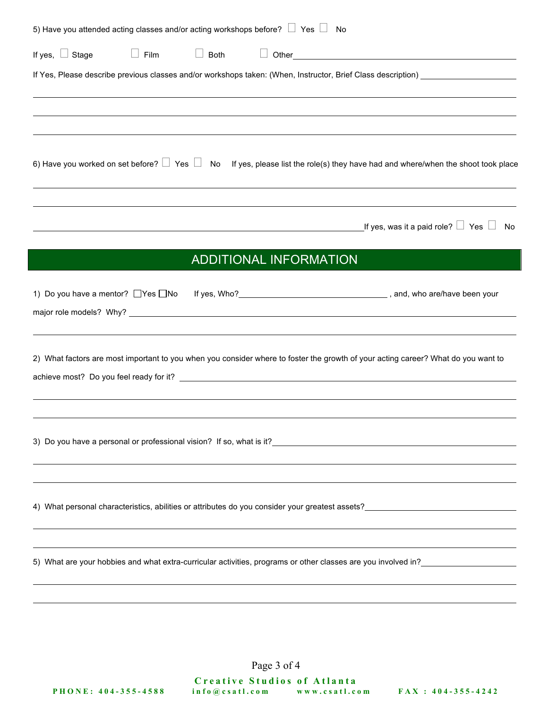| 5) Have you attended acting classes and/or acting workshops before? $\Box$ Yes $\Box$ |                        | No                                                                                                                                                                                                                             |
|---------------------------------------------------------------------------------------|------------------------|--------------------------------------------------------------------------------------------------------------------------------------------------------------------------------------------------------------------------------|
| If yes, $\Box$ Stage<br>$\Box$                                                        | Film<br>$\Box$<br>Both |                                                                                                                                                                                                                                |
|                                                                                       |                        | If Yes, Please describe previous classes and/or workshops taken: (When, Instructor, Brief Class description) _________________________<br>,我们也不会有什么。""我们的人,我们也不会有什么?""我们的人,我们也不会有什么?""我们的人,我们也不会有什么?""我们的人,我们也不会有什么?""我们的人     |
|                                                                                       |                        | 6) Have you worked on set before? $\Box$ Yes $\Box$ No If yes, please list the role(s) they have had and where/when the shoot took place                                                                                       |
|                                                                                       |                        | _If yes, was it a paid role? $\Box\,$ Yes $\,\Box\,$<br>No                                                                                                                                                                     |
|                                                                                       |                        | <b>ADDITIONAL INFORMATION</b>                                                                                                                                                                                                  |
| 1) Do you have a mentor? □ Yes □ No                                                   |                        |                                                                                                                                                                                                                                |
|                                                                                       |                        | 2) What factors are most important to you when you consider where to foster the growth of your acting career? What do you want to                                                                                              |
|                                                                                       |                        |                                                                                                                                                                                                                                |
|                                                                                       |                        |                                                                                                                                                                                                                                |
|                                                                                       |                        | 5) What are your hobbies and what extra-curricular activities, programs or other classes are you involved in?<br>Same the standard in 2000 involved in 2000 in 2000 in 2000 in 2000 in 2000 in 2000 in 2000 in 2000 in 2000 in |
|                                                                                       |                        |                                                                                                                                                                                                                                |

Page 3 of 4

**Creative Studios of Atlanta PHONE: 404 - 355 - 4588 info@csatl.com www.csatl.com FAX : 404 - 355 - 4242**